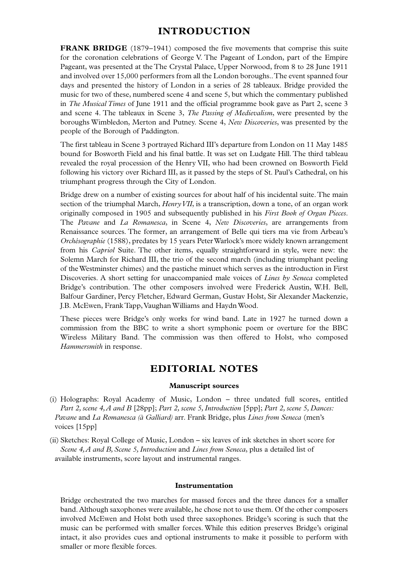# **INTRODUCTION**

**FRANK BRIDGE** (1879–1941) composed the five movements that comprise this suite for the coronation celebrations of George V. The Pageant of London, part of the Empire Pageant, was presented at the The Crystal Palace, Upper Norwood, from 8 to 28 June 1911 and involved over 15,000 performers from all the London boroughs..The event spanned four days and presented the history of London in a series of 28 tableaux. Bridge provided the music for two of these, numbered scene 4 and scene 5, but which the commentary published in *The Musical Times* of June 1911 and the official programme book gave as Part 2, scene 3 and scene 4. The tableaux in Scene 3, *The Passing of Medievalism*, were presented by the boroughs Wimbledon, Merton and Putney. Scene 4, *New Discoveries*, was presented by the people of the Borough of Paddington.

The first tableau in Scene 3 portrayed Richard III's departure from London on 11 May 1485 bound for Bosworth Field and his final battle. It was set on Ludgate Hill. The third tableau revealed the royal procession of the Henry VII, who had been crowned on Bosworth Field following his victory over Richard III, as it passed by the steps of St. Paul's Cathedral, on his triumphant progress through the City of London.

Bridge drew on a number of existing sources for about half of his incidental suite.The main section of the triumphal March, *Henry VII*, is a transcription, down a tone, of an organ work originally composed in 1905 and subsequently published in his *First Book of Organ Pieces*. The *Pavane* and *La Romanesca*, in Scene 4, *New Discoveries*, are arrangements from Renaissance sources. The former, an arrangement of Belle qui tiers ma vie from Arbeau's *Orchésographie* (1588), predates by 15 years Peter Warlock's more widely known arrangement from his *Capriol* Suite. The other items, equally straightforward in style, were new: the Solemn March for Richard III, the trio of the second march (including triumphant peeling of the Westminster chimes) and the pastiche minuet which serves as the introduction in First Discoveries. A short setting for unaccompanied male voices of *Lines by Seneca* completed Bridge's contribution. The other composers involved were Frederick Austin, W.H. Bell, Balfour Gardiner, Percy Fletcher, Edward German, Gustav Holst, Sir Alexander Mackenzie, J.B. McEwen, Frank Tapp,Vaughan Williams and Haydn Wood.

These pieces were Bridge's only works for wind band. Late in 1927 he turned down a commission from the BBC to write a short symphonic poem or overture for the BBC Wireless Military Band. The commission was then offered to Holst, who composed *Hammersmith* in response.

## **EDITORIAL NOTES**

### **Manuscript sources**

(i) Holographs: Royal Academy of Music, London – three undated full scores, entitled *Part 2, scene 4, A and B* [28pp]; *Part 2, scene 5, Introduction* [5pp]; *Part 2, scene 5, Dances: Pavane* and *La Romanesca (à Galliard)* arr. Frank Bridge, plus *Lines from Seneca* (men's voices [15pp]

(ii) Sketches: Royal College of Music, London – six leaves of ink sketches in short score for *Scene 4, A and B, Scene 5, Introduction* and *Lines from Seneca*, plus a detailed list of available instruments, score layout and instrumental ranges.

#### **Instrumentation**

Bridge orchestrated the two marches for massed forces and the three dances for a smaller band. Although saxophones were available, he chose not to use them. Of the other composers involved McEwen and Holst both used three saxophones. Bridge's scoring is such that the music can be performed with smaller forces. While this edition preserves Bridge's original intact, it also provides cues and optional instruments to make it possible to perform with smaller or more flexible forces.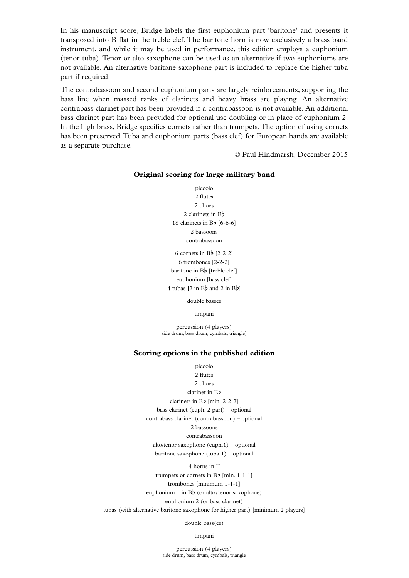In his manuscript score, Bridge labels the first euphonium part 'baritone' and presents it transposed into B flat in the treble clef. The baritone horn is now exclusively a brass band instrument, and while it may be used in performance, this edition employs a euphonium (tenor tuba). Tenor or alto saxophone can be used as an alternative if two euphoniums are not available. An alternative baritone saxophone part is included to replace the higher tuba part if required.

> 6 cornets in Bb [2-2-2] 6 trombones [2-2-2] baritone in Bb [treble clef] euphonium [bass clef] 4 tubas  $[2 \text{ in } E\flat \text{ and } 2 \text{ in } B\flat]$

The contrabassoon and second euphonium parts are largely reinforcements, supporting the bass line when massed ranks of clarinets and heavy brass are playing. An alternative contrabass clarinet part has been provided if a contrabassoon is not available. An additional bass clarinet part has been provided for optional use doubling or in place of euphonium 2. In the high brass, Bridge specifies cornets rather than trumpets. The option of using cornets has been preserved.Tuba and euphonium parts (bass clef) for European bands are available as a separate purchase.

© Paul Hindmarsh, December 2015

#### **Original scoring for large military band**

piccolo 2 flutes 2 oboes 2 clarinets in Eb 18 clarinets in  $B\flat$  [6-6-6] 2 bassoons contrabassoon

double basses

timpani

percussion (4 players) side drum, bass drum, cymbals, triangle]

### **Scoring options in the published edition**

piccolo 2 flutes 2 oboes clarinet in Eb clarinets in Bb [min. 2-2-2] bass clarinet (euph. 2 part) – optional contrabass clarinet (contrabassoon) – optional 2 bassoons contrabassoon

alto/tenor saxophone (euph.1) – optional baritone saxophone (tuba 1) – optional

4 horns in F trumpets or cornets in  $B\flat$  [min. 1-1-1] trombones [minimum 1-1-1] euphonium 1 in  $B\flat$  (or alto/tenor saxophone) euphonium 2 (or bass clarinet)

tubas (with alternative baritone saxophone for higher part) [minimum 2 players]

double bass(es)

timpani

percussion (4 players) side drum, bass drum, cymbals, triangle